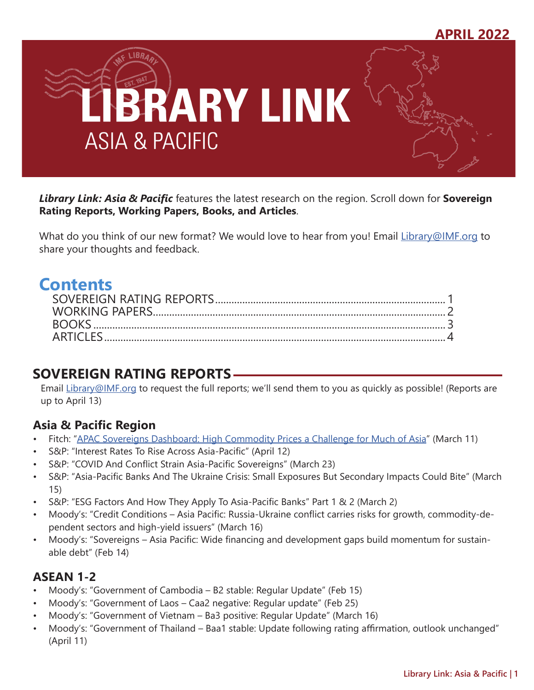

*Library Link: Asia & Pacific* features the latest research on the region. Scroll down for **Sovereign Rating Reports, Working Papers, Books, and Articles**.

What do you think of our new format? We would love to hear from you! Email [Library@IMF.org](mailto:Library%40IMF.org?subject=) to share your thoughts and feedback.

# **Contents**

# **SOVEREIGN RATING REPORTS**

Email [Library@IMF.org](mailto:Library%40IMF.org?subject=) to request the full reports; we'll send them to you as quickly as possible! (Reports are up to April 13)

### **Asia & Pacific Region**

- Fitch: ["APAC Sovereigns Dashboard: High Commodity Prices a Challenge for Much of Asia](http://t.imfconnect.imf.org/r/?id=h805056,359df0a,35b3016)" (March 11)
- S&P: "Interest Rates To Rise Across Asia-Pacific" (April 12)
- S&P: "COVID And Conflict Strain Asia-Pacific Sovereigns" (March 23)
- S&P: "Asia-Pacific Banks And The Ukraine Crisis: Small Exposures But Secondary Impacts Could Bite" (March 15)
- S&P: "ESG Factors And How They Apply To Asia-Pacific Banks" Part 1 & 2 (March 2)
- Moody's: "Credit Conditions Asia Pacific: Russia-Ukraine conflict carries risks for growth, commodity-dependent sectors and high-yield issuers" (March 16)
- Moody's: "Sovereigns Asia Pacific: Wide financing and development gaps build momentum for sustainable debt" (Feb 14)

### **ASEAN 1-2**

- Moody's: "Government of Cambodia B2 stable: Regular Update" (Feb 15)
- Moody's: "Government of Laos Caa2 negative: Regular update" (Feb 25)
- Moody's: "Government of Vietnam Ba3 positive: Regular Update" (March 16)
- Moody's: "Government of Thailand Baa1 stable: Update following rating affirmation, outlook unchanged" (April 11)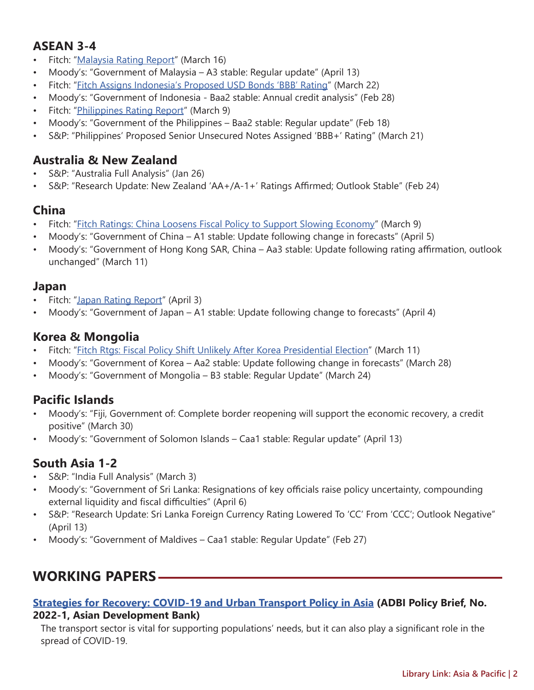### <span id="page-1-0"></span>**ASEAN 3-4**

- Fitch: ["Malaysia Rating Report](http://t.imfconnect.imf.org/r/?id=h805056,359df0a,35b3017)" (March 16)
- Moody's: "Government of Malaysia A3 stable: Regular update" (April 13)
- Fitch: "[Fitch Assigns Indonesia's Proposed USD Bonds 'BBB' Rating"](http://t.imfconnect.imf.org/r/?id=h805056,359df0a,35b3018) (March 22)
- Moody's: "Government of Indonesia Baa2 stable: Annual credit analysis" (Feb 28)
- Fitch: ["Philippines Rating Report"](http://t.imfconnect.imf.org/r/?id=h805056,359df0a,35b3019) (March 9)
- Moody's: "Government of the Philippines Baa2 stable: Regular update" (Feb 18)
- S&P: "Philippines' Proposed Senior Unsecured Notes Assigned 'BBB+' Rating" (March 21)

### **Australia & New Zealand**

- S&P: "Australia Full Analysis" (Jan 26)
- S&P: "Research Update: New Zealand 'AA+/A-1+' Ratings Affirmed; Outlook Stable" (Feb 24)

## **China**

- Fitch: ["Fitch Ratings: China Loosens Fiscal Policy to Support Slowing Economy"](http://t.imfconnect.imf.org/r/?id=h805056,359df0a,35b301a) (March 9)
- Moody's: "Government of China A1 stable: Update following change in forecasts" (April 5)
- Moody's: "Government of Hong Kong SAR, China Aa3 stable: Update following rating affirmation, outlook unchanged" (March 11)

### **Japan**

- Fitch: ["Japan Rating Report"](http://t.imfconnect.imf.org/r/?id=h805056,359df0a,35b301b) (April 3)
- Moody's: "Government of Japan A1 stable: Update following change to forecasts" (April 4)

### **Korea & Mongolia**

- Fitch: "[Fitch Rtgs: Fiscal Policy Shift Unlikely After Korea Presidential Election](http://t.imfconnect.imf.org/r/?id=h805056,359df0a,35b301c)" (March 11)
- Moody's: "Government of Korea Aa2 stable: Update following change in forecasts" (March 28)
- Moody's: "Government of Mongolia B3 stable: Regular Update" (March 24)

## **Pacific Islands**

- Moody's: "Fiji, Government of: Complete border reopening will support the economic recovery, a credit positive" (March 30)
- Moody's: "Government of Solomon Islands Caa1 stable: Regular update" (April 13)

## **South Asia 1-2**

- S&P: "India Full Analysis" (March 3)
- Moody's: "Government of Sri Lanka: Resignations of key officials raise policy uncertainty, compounding external liquidity and fiscal difficulties" (April 6)
- S&P: "Research Update: Sri Lanka Foreign Currency Rating Lowered To 'CC' From 'CCC'; Outlook Negative" (April 13)
- Moody's: "Government of Maldives Caa1 stable: Regular Update" (Feb 27)

# **WORKING PAPERS**

## **[Strategies for Recovery: COVID-19 and Urban Transport Policy in Asia](http://t.imfconnect.imf.org/r/?id=h805056,359df0a,35b301d) (ADBI Policy Brief, No.**

#### **2022-1, Asian Development Bank)**

The transport sector is vital for supporting populations' needs, but it can also play a significant role in the spread of COVID-19.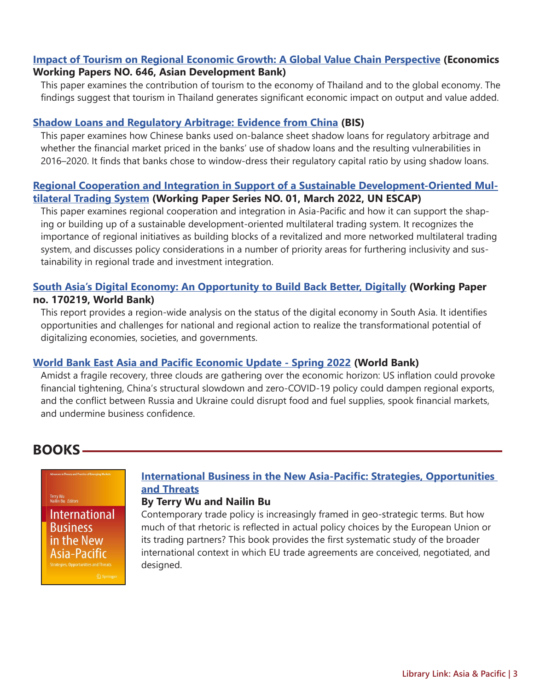#### <span id="page-2-0"></span>**[Impact of Tourism on Regional Economic Growth: A Global Value Chain Perspective](http://t.imfconnect.imf.org/r/?id=h805056,359df0a,35b301e) (Economics Working Papers NO. 646, Asian Development Bank)**

This paper examines the contribution of tourism to the economy of Thailand and to the global economy. The findings suggest that tourism in Thailand generates significant economic impact on output and value added.

#### **[Shadow Loans and Regulatory Arbitrage: Evidence from China](http://t.imfconnect.imf.org/r/?id=h805056,359df0a,35b301f) (BIS)**

This paper examines how Chinese banks used on-balance sheet shadow loans for regulatory arbitrage and whether the financial market priced in the banks' use of shadow loans and the resulting vulnerabilities in 2016–2020. It finds that banks chose to window-dress their regulatory capital ratio by using shadow loans.

#### **[Regional Cooperation and Integration in Support of a Sustainable Development-Oriented Mul](http://t.imfconnect.imf.org/r/?id=h805056,359df0a,35b3020)[tilateral Trading System](http://t.imfconnect.imf.org/r/?id=h805056,359df0a,35b3020) (Working Paper Series NO. 01, March 2022, UN ESCAP)**

This paper examines regional cooperation and integration in Asia-Pacific and how it can support the shaping or building up of a sustainable development-oriented multilateral trading system. It recognizes the importance of regional initiatives as building blocks of a revitalized and more networked multilateral trading system, and discusses policy considerations in a number of priority areas for furthering inclusivity and sustainability in regional trade and investment integration.

#### **[South Asia's Digital Economy: An Opportunity to Build Back Better, Digitally](http://t.imfconnect.imf.org/r/?id=h805056,359df0a,35b3021) (Working Paper no. 170219, World Bank)**

This report provides a region-wide analysis on the status of the digital economy in South Asia. It identifies opportunities and challenges for national and regional action to realize the transformational potential of digitalizing economies, societies, and governments.

#### **[World Bank East Asia and Pacific Economic Update - Spring 2022](http://t.imfconnect.imf.org/r/?id=h805056,359df0a,35b3022) (World Bank)**

Amidst a fragile recovery, three clouds are gathering over the economic horizon: US inflation could provoke financial tightening, China's structural slowdown and zero-COVID-19 policy could dampen regional exports, and the conflict between Russia and Ukraine could disrupt food and fuel supplies, spook financial markets, and undermine business confidence.

## **BOOKS**

#### Terry Wu<br>Nailin Bu *Editors*

**International Business** in the New Asia-Pacific

#### **[International Business in the New Asia-Pacific: Strategies, Opportunities](http://t.imfconnect.imf.org/r/?id=h805056,359df0a,35b3024)  [and Threats](http://t.imfconnect.imf.org/r/?id=h805056,359df0a,35b3024)**

#### **By Terry Wu and Nailin Bu**

Contemporary trade policy is increasingly framed in geo-strategic terms. But how much of that rhetoric is reflected in actual policy choices by the European Union or its trading partners? This book provides the first systematic study of the broader international context in which EU trade agreements are conceived, negotiated, and designed.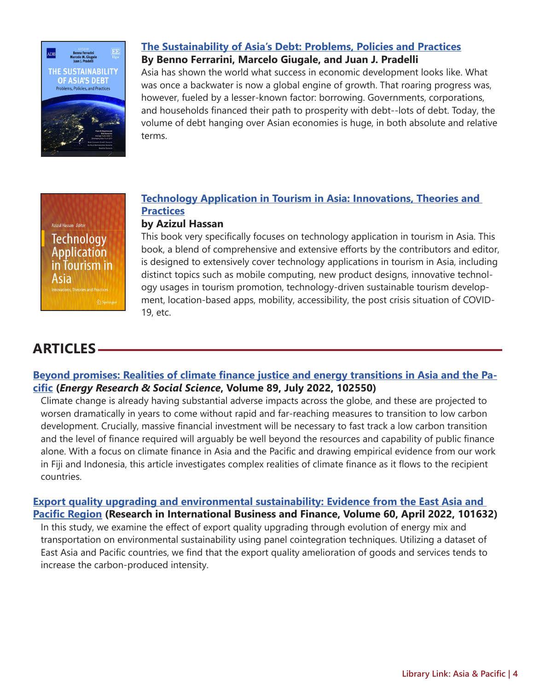<span id="page-3-0"></span>

### **[The Sustainability of Asia's Debt: Problems, Policies and Practices](http://t.imfconnect.imf.org/r/?id=h805056,359df0a,35b3026)**

**By Benno Ferrarini, Marcelo Giugale, and Juan J. Pradelli**

Asia has shown the world what success in economic development looks like. What was once a backwater is now a global engine of growth. That roaring progress was, however, fueled by a lesser-known factor: borrowing. Governments, corporations, and households financed their path to prosperity with debt--lots of debt. Today, the volume of debt hanging over Asian economies is huge, in both absolute and relative terms.



#### **[Technology Application in Tourism in Asia: Innovations, Theories and](http://t.imfconnect.imf.org/r/?id=h805056,359df0a,35b3028)  [Practices](http://t.imfconnect.imf.org/r/?id=h805056,359df0a,35b3028) by Azizul Hassan**

This book very specifically focuses on technology application in tourism in Asia. This book, a blend of comprehensive and extensive efforts by the contributors and editor, is designed to extensively cover technology applications in tourism in Asia, including distinct topics such as mobile computing, new product designs, innovative technology usages in tourism promotion, technology-driven sustainable tourism development, location-based apps, mobility, accessibility, the post crisis situation of COVID-19, etc.

# **ARTICLES**

#### **[Beyond promises: Realities of climate finance justice and energy transitions in Asia and the Pa](http://t.imfconnect.imf.org/r/?id=h805056,359df0a,35b3029)[cific](http://t.imfconnect.imf.org/r/?id=h805056,359df0a,35b3029) (***Energy Research & Social Science***, Volume 89, July 2022, 102550)**

Climate change is already having substantial adverse impacts across the globe, and these are projected to worsen dramatically in years to come without rapid and far-reaching measures to transition to low carbon development. Crucially, massive financial investment will be necessary to fast track a low carbon transition and the level of finance required will arguably be well beyond the resources and capability of public finance alone. With a focus on climate finance in Asia and the Pacific and drawing empirical evidence from our work in Fiji and Indonesia, this article investigates complex realities of climate finance as it flows to the recipient countries.

**[Export quality upgrading and environmental sustainability: Evidence from the East Asia and](http://t.imfconnect.imf.org/r/?id=h805056,359df0a,35b302a)  [Pacific Region](http://t.imfconnect.imf.org/r/?id=h805056,359df0a,35b302a) (Research in International Business and Finance, Volume 60, April 2022, 101632)** In this study, we examine the effect of export quality upgrading through evolution of energy mix and transportation on environmental sustainability using panel cointegration techniques. Utilizing a dataset of East Asia and Pacific countries, we find that the export quality amelioration of goods and services tends to increase the carbon-produced intensity.